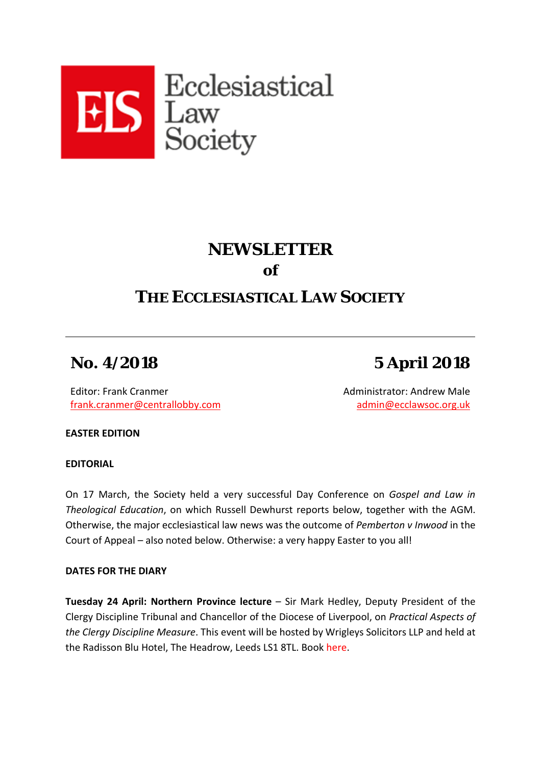

## **NEWSLETTER of**

## **THE ECCLESIASTICAL LAW SOCIETY**

# **No. 4/2018 5 April 2018**

Editor: Frank Cranmer [frank.cranmer@centrallobby.com](mailto:frank.cranmer@centrallobby.com) Administrator: Andrew Male [admin@ecclawsoc.org.uk](mailto:admin@ecclawsoc.org.uk)

**EASTER EDITION**

**EDITORIAL**

On 17 March, the Society held a very successful Day Conference on *Gospel and Law in Theological Education*, on which Russell Dewhurst reports below, together with the AGM. Otherwise, the major ecclesiastical law news was the outcome of *Pemberton v Inwood* in the Court of Appeal – also noted below. Otherwise: a very happy Easter to you all!

### **DATES FOR THE DIARY**

**Tuesday 24 April: Northern Province lecture** – Sir Mark Hedley, Deputy President of the Clergy Discipline Tribunal and Chancellor of the Diocese of Liverpool, on *Practical Aspects of the Clergy Discipline Measure*. This event will be hosted by Wrigleys Solicitors LLP and held at the Radisson Blu Hotel, The Headrow, Leeds LS1 8TL. Book [here.](https://ecclawsoc.org.uk/events/cdm/)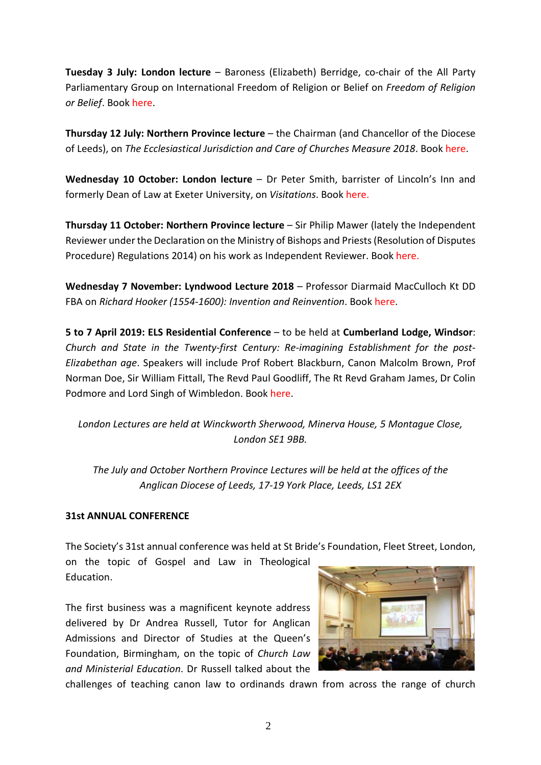**Tuesday 3 July: London lecture** – Baroness (Elizabeth) Berridge, co-chair of the All Party Parliamentary Group on International Freedom of Religion or Belief on *Freedom of Religion or Belief*. Book [here.](https://ecclawsoc.org.uk/events/baroness-berridge/)

**Thursday 12 July: Northern Province lecture** – the Chairman (and Chancellor of the Diocese of Leeds), on *The Ecclesiastical Jurisdiction and Care of Churches Measure 2018*. Book [here.](https://ecclawsoc.org.uk/events/professor-mark-hill-qc-on-the-ecclesiastical-jurisdiction-and-care-of-churches-measure-2018/https:/ecclawsoc.org.uk/events/professor-mark-hill-qc-on-the-ecclesiastical-jurisdiction-and-care-of-churches-measure-2018/)

**Wednesday 10 October: London lecture** – Dr Peter Smith, barrister of Lincoln's Inn and formerly Dean of Law at Exeter University, on *Visitations*. Book [here.](https://ecclawsoc.org.uk/events/peter-smith-visitations/)

**Thursday 11 October: Northern Province lecture** – Sir Philip Mawer (lately the Independent Reviewer under the Declaration on the Ministry of Bishops and Priests (Resolution of Disputes Procedure) Regulations 2014) on his work as Independent Reviewer. Boo[k here.](https://ecclawsoc.org.uk/events/sir-philip-mawer-on-his-independent-reviewers-report-on-the-see-of-sheffield/)

**Wednesday 7 November: Lyndwood Lecture 2018** – Professor Diarmaid MacCulloch Kt DD FBA on *Richard Hooker (1554-1600): Invention and Reinvention*. Book [here.](https://ecclawsoc.org.uk/events/lyndwood-lecture-2018-richard-hooker-1554-1600-invention-reinvention/)

**5 to 7 April 2019: ELS Residential Conference** – to be held at **Cumberland Lodge, Windsor**: *Church and State in the Twenty-first Century: Re-imagining Establishment for the post-Elizabethan age*. Speakers will include Prof Robert Blackburn, Canon Malcolm Brown, Prof Norman Doe, Sir William Fittall, The Revd Paul Goodliff, The Rt Revd Graham James, Dr Colin Podmore and Lord Singh of Wimbledon. Book [here.](https://ecclawsoc.org.uk/events/residential-conference-church-and-state-in-the-21st-century/)

*London Lectures are held at Winckworth Sherwood, Minerva House, 5 Montague Close, London SE1 9BB.*

*The July and October Northern Province Lectures will be held at the offices of the Anglican Diocese of Leeds, 17-19 York Place, Leeds, LS1 2EX*

### **31st ANNUAL CONFERENCE**

The Society's 31st annual conference was held at St Bride's Foundation, Fleet Street, London,

on the topic of Gospel and Law in Theological Education.

The first business was a magnificent keynote address delivered by Dr Andrea Russell, Tutor for Anglican Admissions and Director of Studies at the Queen's Foundation, Birmingham, on the topic of *Church Law and Ministerial Education*. Dr Russell talked about the



challenges of teaching canon law to ordinands drawn from across the range of church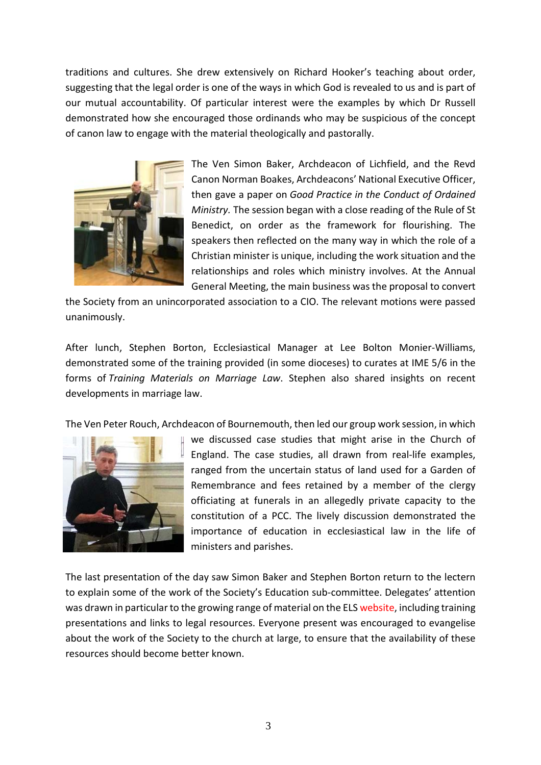traditions and cultures. She drew extensively on Richard Hooker's teaching about order, suggesting that the legal order is one of the ways in which God is revealed to us and is part of our mutual accountability. Of particular interest were the examples by which Dr Russell demonstrated how she encouraged those ordinands who may be suspicious of the concept of canon law to engage with the material theologically and pastorally.



The Ven Simon Baker, Archdeacon of Lichfield, and the Revd Canon Norman Boakes, Archdeacons' National Executive Officer, then gave a paper on *Good Practice in the Conduct of Ordained Ministry.* The session began with a close reading of the Rule of St Benedict, on order as the framework for flourishing. The speakers then reflected on the many way in which the role of a Christian minister is unique, including the work situation and the relationships and roles which ministry involves. At the Annual General Meeting, the main business was the proposal to convert

the Society from an unincorporated association to a CIO. The relevant motions were passed unanimously.

After lunch, Stephen Borton, Ecclesiastical Manager at Lee Bolton Monier-Williams, demonstrated some of the training provided (in some dioceses) to curates at IME 5/6 in the forms of *Training Materials on Marriage Law*. Stephen also shared insights on recent developments in marriage law.

The Ven Peter Rouch, Archdeacon of Bournemouth, then led our group work session, in which



we discussed case studies that might arise in the Church of England. The case studies, all drawn from real-life examples, ranged from the uncertain status of land used for a Garden of Remembrance and fees retained by a member of the clergy officiating at funerals in an allegedly private capacity to the constitution of a PCC. The lively discussion demonstrated the importance of education in ecclesiastical law in the life of ministers and parishes.

The last presentation of the day saw Simon Baker and Stephen Borton return to the lectern to explain some of the work of the Society's Education sub-committee. Delegates' attention was drawn in particular to the growing range of material on the EL[S website,](http://www.ecclawsoc.org.uk/) including training presentations and links to legal resources. Everyone present was encouraged to evangelise about the work of the Society to the church at large, to ensure that the availability of these resources should become better known.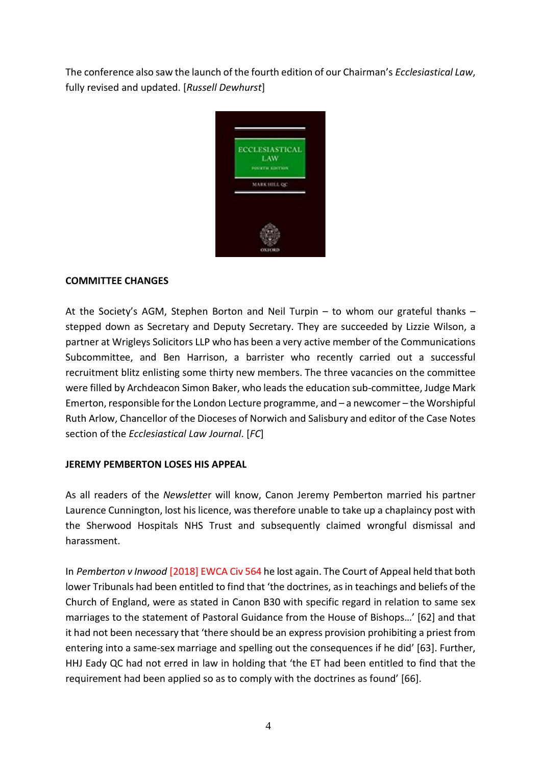The conference also saw the launch of the fourth edition of our Chairman's *Ecclesiastical Law*, fully revised and updated. [*Russell Dewhurst*]



### **COMMITTEE CHANGES**

At the Society's AGM, Stephen Borton and Neil Turpin – to whom our grateful thanks – stepped down as Secretary and Deputy Secretary. They are succeeded by Lizzie Wilson, a partner at Wrigleys Solicitors LLP who has been a very active member of the Communications Subcommittee, and Ben Harrison, a barrister who recently carried out a successful recruitment blitz enlisting some thirty new members. The three vacancies on the committee were filled by Archdeacon Simon Baker, who leads the education sub-committee, Judge Mark Emerton, responsible for the London Lecture programme, and – a newcomer – the Worshipful Ruth Arlow, Chancellor of the Dioceses of Norwich and Salisbury and editor of the Case Notes section of the *Ecclesiastical Law Journal*. [*FC*]

#### **JEREMY PEMBERTON LOSES HIS APPEAL**

As all readers of the *Newslette*r will know, Canon Jeremy Pemberton married his partner Laurence Cunnington, lost his licence, was therefore unable to take up a chaplaincy post with the Sherwood Hospitals NHS Trust and subsequently claimed wrongful dismissal and harassment.

In *Pemberton v Inwood* [\[2018\] EWCA Civ 564](http://www.bailii.org/ew/cases/EWCA/Civ/2018/564.html) he lost again. The Court of Appeal held that both lower Tribunals had been entitled to find that 'the doctrines, as in teachings and beliefs of the Church of England, were as stated in Canon B30 with specific regard in relation to same sex marriages to the statement of Pastoral Guidance from the House of Bishops…' [62] and that it had not been necessary that 'there should be an express provision prohibiting a priest from entering into a same-sex marriage and spelling out the consequences if he did' [63]. Further, HHJ Eady QC had not erred in law in holding that 'the ET had been entitled to find that the requirement had been applied so as to comply with the doctrines as found' [66].